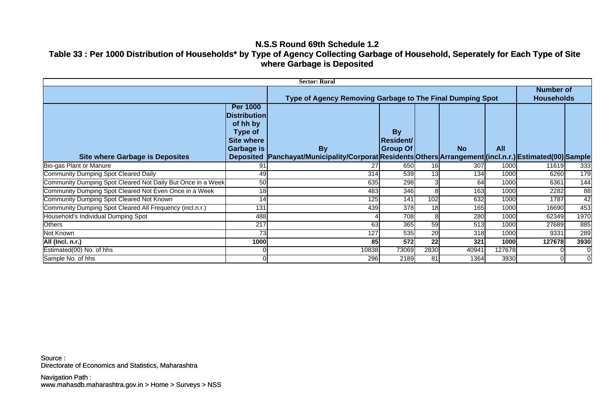### **N.S.S Round 69th Schedule 1.2**

# **Table 33 : Per 1000 Distribution of Households\* by Type of Agency Collecting Garbage of Household, Seperately for Each Type of Site where Garbage is Deposited**

| <b>Sector: Rural</b>                                        |                                                                                                         |                                                                                                                       |                                                  |      |           |                                       |        |                |
|-------------------------------------------------------------|---------------------------------------------------------------------------------------------------------|-----------------------------------------------------------------------------------------------------------------------|--------------------------------------------------|------|-----------|---------------------------------------|--------|----------------|
|                                                             |                                                                                                         | Type of Agency Removing Garbage to The Final Dumping Spot                                                             |                                                  |      |           | <b>Number of</b><br><b>Households</b> |        |                |
| <b>Site where Garbage is Deposites</b>                      | <b>Per 1000</b><br><b>Distribution</b><br>of hh by<br><b>Type of</b><br><b>Site where</b><br>Garbage is | <b>By</b><br>Deposited  Panchayat/Municipality/Corporat Residents Others Arrangement (incl.n.r.) Estimated(00) Sample | <b>By</b><br><b>Resident/</b><br><b>Group Of</b> |      | <b>No</b> | <b>All</b>                            |        |                |
| Bio-gas Plant or Manure                                     | 91                                                                                                      | 27                                                                                                                    | 650                                              | 16   | 307       | 1000                                  | 11619  | 333            |
| <b>Community Dumping Spot Cleared Daily</b>                 | 49                                                                                                      | 314                                                                                                                   | 539                                              | 13   | 134       | 1000                                  | 6260   | 179            |
| Community Dumping Spot Cleared Not Daily But Once in a Week | 50                                                                                                      | 635                                                                                                                   | 298                                              |      | 64        | 1000                                  | 6361   | 144            |
| Community Dumping Spot Cleared Not Even Once in a Week      | 18                                                                                                      | 483                                                                                                                   | 346                                              |      | 163       | 1000                                  | 2282   | 88             |
| <b>Community Dumping Spot Cleared Not Known</b>             | 14                                                                                                      | 125                                                                                                                   | 141                                              | 102  | 632       | 1000                                  | 1787   | 42             |
| Community Dumping Spot Cleared All Frequency (incl.n.r.)    | 131                                                                                                     | 439                                                                                                                   | 378                                              | 18   | 165       | 1000                                  | 16690  | 453            |
| Household's Individual Dumping Spot                         | 488                                                                                                     |                                                                                                                       | 708                                              |      | 280       | 1000                                  | 62349  | 1970           |
| <b>Others</b>                                               | 217                                                                                                     | 63                                                                                                                    | 365                                              | 59   | 513       | 1000                                  | 27689  | 885            |
| Not Known                                                   | 73                                                                                                      | 127                                                                                                                   | 535                                              | 20   | 318       | 1000                                  | 9331   | 289            |
| All (Incl. n.r.)                                            | 1000                                                                                                    | 85                                                                                                                    | 572                                              | 22   | 321       | 1000                                  | 127678 | 3930           |
| Estimated(00) No. of hhs                                    |                                                                                                         | 10838                                                                                                                 | 73069                                            | 2830 | 40941     | 127678                                |        |                |
| Sample No. of hhs                                           |                                                                                                         | 296                                                                                                                   | 2189                                             | 81   | 1364      | 3930                                  |        | $\overline{0}$ |

Directorate of Economics and Statistics, Maharashtra Source :

www.mahasdb.maharashtra.gov.in > Home > Surveys > NSS Navigation Path :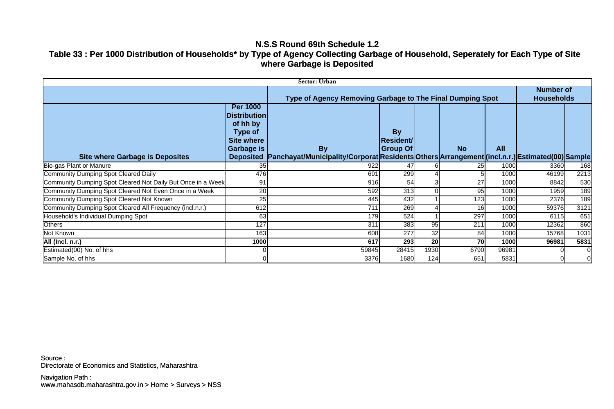### **N.S.S Round 69th Schedule 1.2**

# **Table 33 : Per 1000 Distribution of Households\* by Type of Agency Collecting Garbage of Household, Seperately for Each Type of Site where Garbage is Deposited**

| <b>Sector: Urban</b>                                        |                                                                                                                      |                                                                                                             |                                           |      |           |                                       |       |             |
|-------------------------------------------------------------|----------------------------------------------------------------------------------------------------------------------|-------------------------------------------------------------------------------------------------------------|-------------------------------------------|------|-----------|---------------------------------------|-------|-------------|
|                                                             |                                                                                                                      | Type of Agency Removing Garbage to The Final Dumping Spot                                                   |                                           |      |           | <b>Number of</b><br><b>Households</b> |       |             |
| <b>Site where Garbage is Deposites</b>                      | <b>Per 1000</b><br><b>Distribution</b><br>of hh by<br>Type of<br><b>Site where</b><br>Garbage is<br><b>Deposited</b> | <b>By</b><br> Panchayat/Municipality/Corporat Residents Others Arrangement (incl.n.r.) Estimated(00) Sample | <b>By</b><br><b>Resident/</b><br>Group Of |      | <b>No</b> | <b>All</b>                            |       |             |
| Bio-gas Plant or Manure                                     | 35                                                                                                                   | 922                                                                                                         |                                           |      | 25        | 1000                                  | 3360  | 168         |
| <b>Community Dumping Spot Cleared Daily</b>                 | 476                                                                                                                  | 691                                                                                                         | 299                                       |      |           | 1000                                  | 46199 | 2213        |
| Community Dumping Spot Cleared Not Daily But Once in a Week | 91                                                                                                                   | 916                                                                                                         | 54                                        |      | 27        | 1000                                  | 8842  | 530         |
| Community Dumping Spot Cleared Not Even Once in a Week      | 20                                                                                                                   | 592                                                                                                         | 313                                       |      | 95        | 1000                                  | 1959  | 189         |
| Community Dumping Spot Cleared Not Known                    | 25                                                                                                                   | 445                                                                                                         | 432                                       |      | 123       | 1000                                  | 2376  | 189         |
| Community Dumping Spot Cleared All Frequency (incl.n.r.)    | 612                                                                                                                  | 711                                                                                                         | 269                                       |      | 16        | 1000                                  | 59376 | 3121        |
| Household's Individual Dumping Spot                         | 63                                                                                                                   | 179                                                                                                         | 524                                       |      | 297       | 1000                                  | 6115  | 651         |
| <b>Others</b>                                               | 127                                                                                                                  | 311                                                                                                         | 383                                       | 95   | 211       | 1000                                  | 12362 | 860         |
| Not Known                                                   | 163                                                                                                                  | 608                                                                                                         | 277                                       | 32   | 84        | 1000                                  | 15768 | 1031        |
| All (Incl. n.r.)                                            | 1000                                                                                                                 | 617                                                                                                         | 293                                       | 20   | 70        | 1000                                  | 96981 | 5831        |
| Estimated(00) No. of hhs                                    |                                                                                                                      | 59845                                                                                                       | 28415                                     | 1930 | 6790      | 96981                                 |       | $\mathbf 0$ |
| Sample No. of hhs                                           | 0                                                                                                                    | 3376                                                                                                        | 1680                                      | 124  | 651       | 5831                                  |       | 0           |

Directorate of Economics and Statistics, Maharashtra Source :

www.mahasdb.maharashtra.gov.in > Home > Surveys > NSS Navigation Path :